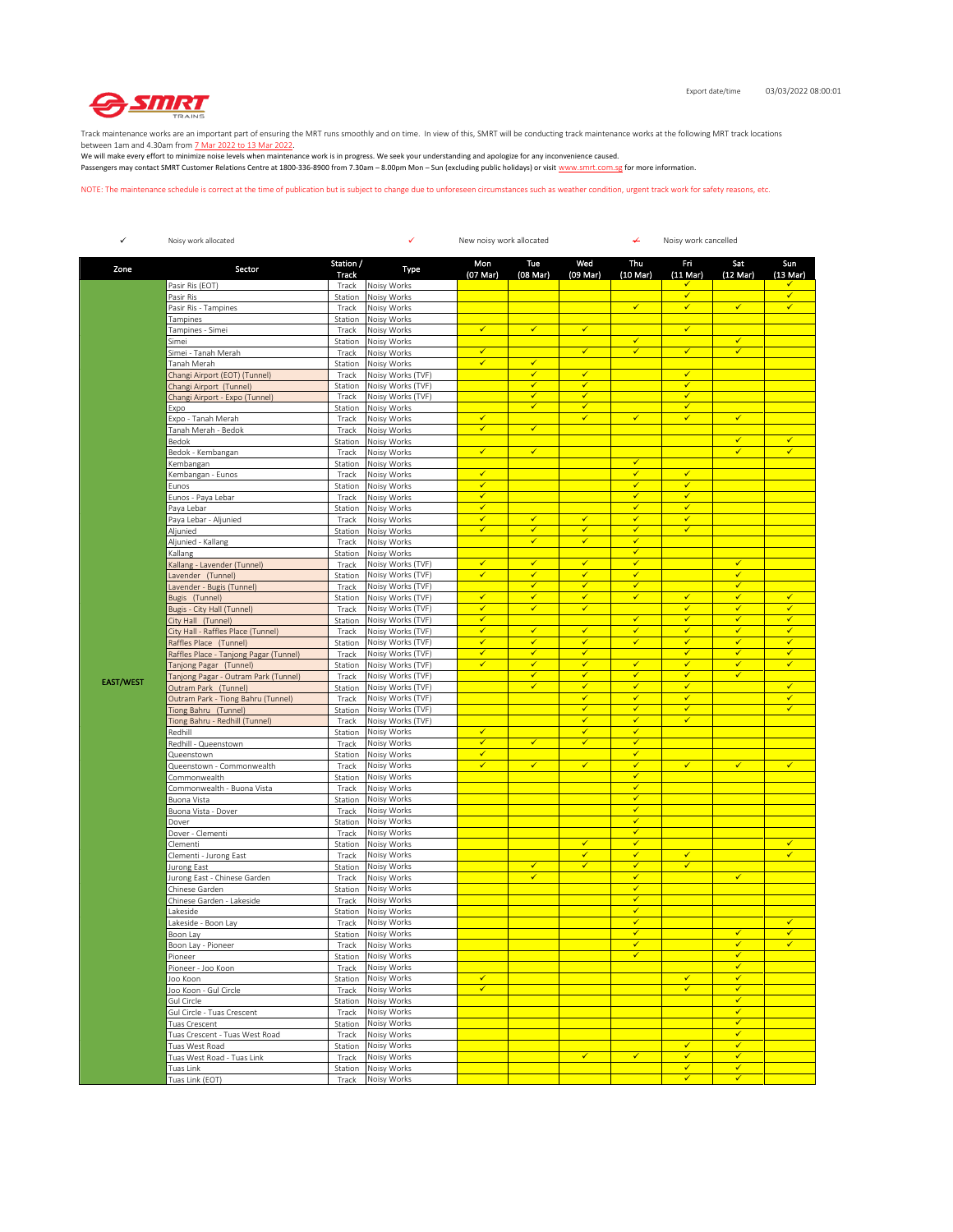

Track maintenance works are an important part of ensuring the MRT runs smoothly and on time. In view of this, SMRT will be conducting track maintenance works at the following MRT track locations

between 1am and 4.30am from <u>7 Mar 2022 to 13 Mar 2022</u>.<br>We will make every effort to minimize noise levels when maintenance work is in progress. We seek your understanding and apologize for any inconvenience caused. Passengers may contact SMRT Customer Relations Centre at 1800-336-8900 from 7.30am – 8.00pm Mon – Sun (excluding public holidays) or visit www.smrt.com.sg for more information.

NOTE: The maintenance schedule is correct at the time of publication but is subject to change due to unforeseen circumstances such as weather condition, urgent track work for safety reasons, etc.

| ✓                | Noisy work allocated                                      |                    | ✓<br>New noisy work allocated<br>↵     |                                         |                              |                              |                              | Noisy work cancelled                    |                              |                              |  |
|------------------|-----------------------------------------------------------|--------------------|----------------------------------------|-----------------------------------------|------------------------------|------------------------------|------------------------------|-----------------------------------------|------------------------------|------------------------------|--|
| Zone             | Sector                                                    | Station /<br>Track | Type                                   | Mon<br>(07 Mar)                         | Tue<br>(08 Mar)              | Wed<br>(09 Mar)              | Thu<br>(10 Mar)              | Fri<br>$(11$ Mar $)$                    | Sat<br>$(12 \text{ Mar})$    | Sun<br>(13 Mar)              |  |
|                  | Pasir Ris (EOT)                                           | Track              | Noisy Works                            |                                         |                              |                              |                              | ✓                                       |                              |                              |  |
|                  | Pasir Ris                                                 | Station            | Noisy Works                            |                                         |                              |                              | $\checkmark$                 | $\overline{\checkmark}$<br>$\checkmark$ | $\checkmark$                 | $\checkmark$<br>$\checkmark$ |  |
|                  | Pasir Ris - Tampines<br>Tampines                          | Track<br>Station   | Noisy Works<br>Noisy Works             |                                         |                              |                              |                              |                                         |                              |                              |  |
|                  | Tampines - Simei                                          | Track              | Noisy Works                            | $\checkmark$                            | $\checkmark$                 | $\checkmark$                 |                              | $\checkmark$                            |                              |                              |  |
|                  | Simei                                                     | Station            | Noisy Works                            |                                         |                              |                              | ✓                            |                                         | ✓                            |                              |  |
|                  | Simei - Tanah Merah                                       | Track              | Noisy Works                            | $\checkmark$                            |                              | $\checkmark$                 | $\checkmark$                 | $\checkmark$                            | $\checkmark$                 |                              |  |
|                  | Tanah Merah                                               | Station            | Noisy Works                            | $\checkmark$                            | $\checkmark$                 |                              |                              | $\checkmark$                            |                              |                              |  |
|                  | Changi Airport (EOT) (Tunnel)                             | Track<br>Station   | Noisy Works (TVF)<br>Noisy Works (TVF) |                                         | $\checkmark$<br>$\checkmark$ | $\checkmark$<br>v            |                              | $\checkmark$                            |                              |                              |  |
|                  | Changi Airport (Tunnel)<br>Changi Airport - Expo (Tunnel) | Track              | Noisy Works (TVF)                      |                                         | ✓                            | ✓                            |                              | ✓                                       |                              |                              |  |
|                  | Expo                                                      | Station            | Noisy Works                            |                                         | $\checkmark$                 | $\checkmark$                 |                              | √                                       |                              |                              |  |
|                  | Expo - Tanah Merah                                        | Track              | Noisy Works                            | $\checkmark$                            |                              | $\checkmark$                 | $\checkmark$                 | $\checkmark$                            | $\checkmark$                 |                              |  |
|                  | Tanah Merah - Bedok                                       | Track              | Noisy Works                            | ✓                                       | ✔                            |                              |                              |                                         |                              |                              |  |
|                  | Bedok                                                     | Station            | Noisy Works                            | $\checkmark$                            | $\checkmark$                 |                              |                              |                                         | $\checkmark$<br>$\checkmark$ | $\checkmark$                 |  |
|                  | Bedok - Kembangan<br>Kembangan                            | Track<br>Station   | Noisy Works<br>Noisy Works             |                                         |                              |                              | $\checkmark$                 |                                         |                              |                              |  |
|                  | Kembangan - Eunos                                         | Track              | Noisy Works                            | $\checkmark$                            |                              |                              | $\checkmark$                 | $\checkmark$                            |                              |                              |  |
|                  | Eunos                                                     | Station            | Noisy Works                            | $\checkmark$                            |                              |                              | $\checkmark$                 | √                                       |                              |                              |  |
|                  | Eunos - Paya Lebar                                        | Track              | Noisy Works                            | $\checkmark$                            |                              |                              | $\checkmark$                 | $\checkmark$                            |                              |                              |  |
|                  | Paya Lebar                                                | Station            | Noisy Works                            | $\checkmark$                            |                              |                              | $\checkmark$                 | ✓                                       |                              |                              |  |
|                  | Paya Lebar - Aljunied                                     | Track              | Noisy Works                            | $\checkmark$                            | $\checkmark$                 | $\checkmark$                 | $\checkmark$                 | $\checkmark$                            |                              |                              |  |
|                  | Aljunied                                                  | Station            | Noisy Works                            | $\checkmark$                            | $\checkmark$<br>$\checkmark$ | $\checkmark$<br>$\checkmark$ | $\checkmark$<br>$\checkmark$ | ✓                                       |                              |                              |  |
|                  | Aljunied - Kallang<br>Kallang                             | Track<br>Station   | Noisy Works<br>Noisy Works             |                                         |                              |                              | $\checkmark$                 |                                         |                              |                              |  |
|                  | Kallang - Lavender (Tunnel)                               | Track              | Noisy Works (TVF)                      | $\checkmark$                            | $\checkmark$                 | $\checkmark$                 | $\checkmark$                 |                                         | $\checkmark$                 |                              |  |
|                  | Lavender (Tunnel)                                         | Station            | Noisy Works (TVF)                      | $\checkmark$                            | $\checkmark$                 | $\checkmark$                 | $\checkmark$                 |                                         | $\checkmark$                 |                              |  |
|                  | Lavender - Bugis (Tunnel)                                 | Track              | Noisy Works (TVF)                      |                                         | $\checkmark$                 | $\checkmark$                 | $\checkmark$                 |                                         | $\checkmark$                 |                              |  |
|                  | Bugis (Tunnel)                                            | Station            | Noisy Works (TVF)                      | $\checkmark$                            | ✔                            | $\checkmark$                 | $\checkmark$                 | ✔                                       | $\checkmark$                 | √                            |  |
|                  | Bugis - City Hall (Tunnel)                                | Track              | Noisy Works (TVF)                      | $\overline{\checkmark}$<br>$\checkmark$ | $\checkmark$                 | $\checkmark$                 | $\checkmark$                 | $\checkmark$<br>✓                       | $\checkmark$<br>$\checkmark$ | $\checkmark$<br>$\checkmark$ |  |
|                  | City Hall (Tunnel)<br>City Hall - Raffles Place (Tunnel)  | Station<br>Track   | Noisy Works (TVF)<br>Noisy Works (TVF) | $\checkmark$                            | $\checkmark$                 | $\checkmark$                 | $\checkmark$                 | $\checkmark$                            | $\checkmark$                 | $\checkmark$                 |  |
|                  | Raffles Place (Tunnel)                                    | Station            | Noisy Works (TVF)                      | $\checkmark$                            | $\checkmark$                 | $\checkmark$                 | $\checkmark$                 | ✓                                       | $\checkmark$                 | $\checkmark$                 |  |
|                  | Raffles Place - Tanjong Pagar (Tunnel)                    | Track              | Noisy Works (TVF)                      | $\checkmark$                            | ✔                            | $\checkmark$                 |                              | √                                       | $\checkmark$                 | ✓                            |  |
|                  | Tanjong Pagar (Tunnel)                                    | Station            | Noisy Works (TVF)                      | $\checkmark$                            | $\checkmark$                 | $\overline{\checkmark}$      | $\checkmark$                 | $\checkmark$                            | $\checkmark$                 | $\checkmark$                 |  |
| <b>EAST/WEST</b> | Tanjong Pagar - Outram Park (Tunnel)                      | Track              | Noisy Works (TVF)                      |                                         | $\checkmark$                 | $\checkmark$                 | ✓                            | ✓                                       | $\checkmark$                 |                              |  |
|                  | Outram Park (Tunnel)                                      | Station            | Noisy Works (TVF)                      |                                         | $\checkmark$                 | $\checkmark$                 | $\checkmark$                 | $\checkmark$                            |                              | $\checkmark$                 |  |
|                  | Outram Park - Tiong Bahru (Tunnel)                        | Track              | Noisy Works (TVF)<br>Noisy Works (TVF) |                                         |                              | $\checkmark$<br>$\checkmark$ | $\checkmark$<br>$\checkmark$ | $\checkmark$<br>√                       |                              | $\checkmark$<br>$\checkmark$ |  |
|                  | Tiong Bahru (Tunnel)<br>Tiong Bahru - Redhill (Tunnel)    | Station<br>Track   | Noisy Works (TVF)                      |                                         |                              | $\overline{\checkmark}$      | $\checkmark$                 | ✓                                       |                              |                              |  |
|                  | Redhill                                                   | Station            | Noisy Works                            | $\checkmark$                            |                              | $\checkmark$                 | ✓                            |                                         |                              |                              |  |
|                  | Redhill - Queenstown                                      | Track              | Noisy Works                            | $\checkmark$                            | $\checkmark$                 | $\checkmark$                 | $\checkmark$                 |                                         |                              |                              |  |
|                  | Queenstown                                                | Station            | Noisy Works                            | ✓                                       |                              |                              | $\checkmark$                 |                                         |                              |                              |  |
|                  | Queenstown - Commonwealth                                 | Track              | Noisy Works                            | ✓                                       | ✓                            | $\checkmark$                 | $\checkmark$<br>$\checkmark$ | √                                       | ✓                            | √                            |  |
|                  | Commonwealth<br>Commonwealth - Buona Vista                | Station<br>Track   | Noisy Works<br>Noisy Works             |                                         |                              |                              | $\checkmark$                 |                                         |                              |                              |  |
|                  | Buona Vista                                               | Station            | Noisy Works                            |                                         |                              |                              | $\checkmark$                 |                                         |                              |                              |  |
|                  | Buona Vista - Dover                                       | Track              | Noisy Works                            |                                         |                              |                              | $\checkmark$                 |                                         |                              |                              |  |
|                  | Dover                                                     | Station            | Noisy Works                            |                                         |                              |                              | ✔                            |                                         |                              |                              |  |
|                  | Dover - Clementi                                          | Track              | Noisy Works                            |                                         |                              |                              | $\checkmark$                 |                                         |                              |                              |  |
|                  | Clementi                                                  | Station            | Noisy Works                            |                                         |                              | $\checkmark$<br>$\checkmark$ | ✓<br>$\checkmark$            | $\checkmark$                            |                              | $\checkmark$<br>$\checkmark$ |  |
|                  | Clementi - Jurong East<br>Jurong East                     | Track<br>Station   | Noisy Works<br>Noisy Works             |                                         | $\checkmark$                 | $\checkmark$                 | $\checkmark$                 | $\checkmark$                            |                              |                              |  |
|                  | Jurong East - Chinese Garden                              | Track              | Noisy Works                            |                                         | ✓                            |                              | $\checkmark$                 |                                         | ✓                            |                              |  |
|                  | Chinese Garden                                            | Station            | Noisy Works                            |                                         |                              |                              | $\checkmark$                 |                                         |                              |                              |  |
|                  | Chinese Garden - Lakeside                                 | Track              | Noisy Works                            |                                         |                              |                              | $\checkmark$                 |                                         |                              |                              |  |
|                  | Lakeside                                                  | Station            | Noisy Works                            |                                         |                              |                              | $\checkmark$                 |                                         |                              |                              |  |
|                  | Lakeside - Boon Lay                                       | Track              | Noisy Works                            |                                         |                              |                              | $\checkmark$<br>✓            |                                         | ✓                            | $\sqrt{2}$                   |  |
|                  | Boon Lay<br>Boon Lay - Pioneer                            | Track              | Station Noisy Works<br>Noisy Works     |                                         |                              |                              | $\checkmark$                 |                                         | $\checkmark$                 | ✓                            |  |
|                  | Pioneer                                                   | Station            | Noisy Works                            |                                         |                              |                              | $\checkmark$                 |                                         | $\checkmark$                 |                              |  |
|                  | Pioneer - Joo Koon                                        | Track              | Noisy Works                            |                                         |                              |                              |                              |                                         | $\checkmark$                 |                              |  |
|                  | Joo Koon                                                  | Station            | Noisy Works                            | $\checkmark$                            |                              |                              |                              | $\checkmark$                            | $\checkmark$                 |                              |  |
|                  | Joo Koon - Gul Circle                                     | Track              | Noisy Works                            | $\checkmark$                            |                              |                              |                              | √                                       | $\checkmark$                 |                              |  |
|                  | Gul Circle                                                | Station            | Noisy Works                            |                                         |                              |                              |                              |                                         | $\checkmark$<br>$\checkmark$ |                              |  |
|                  | Gul Circle - Tuas Crescent<br>Tuas Crescent               | Track<br>Station   | Noisy Works<br>Noisy Works             |                                         |                              |                              |                              |                                         | $\checkmark$                 |                              |  |
|                  | Tuas Crescent - Tuas West Road                            | Track              | Noisy Works                            |                                         |                              |                              |                              |                                         | $\checkmark$                 |                              |  |
|                  | Tuas West Road                                            | Station            | Noisy Works                            |                                         |                              |                              |                              | ✓                                       | ✓                            |                              |  |
|                  | Tuas West Road - Tuas Link                                | Track              | Noisy Works                            |                                         |                              | $\checkmark$                 | $\checkmark$                 | $\checkmark$                            | $\checkmark$                 |                              |  |
|                  | Tuas Link                                                 | Station            | Noisy Works                            |                                         |                              |                              |                              | $\checkmark$                            | $\checkmark$                 |                              |  |
|                  | Tuas Link (EOT)                                           | Track              | Noisy Works                            |                                         |                              |                              |                              | $\checkmark$                            | $\checkmark$                 |                              |  |